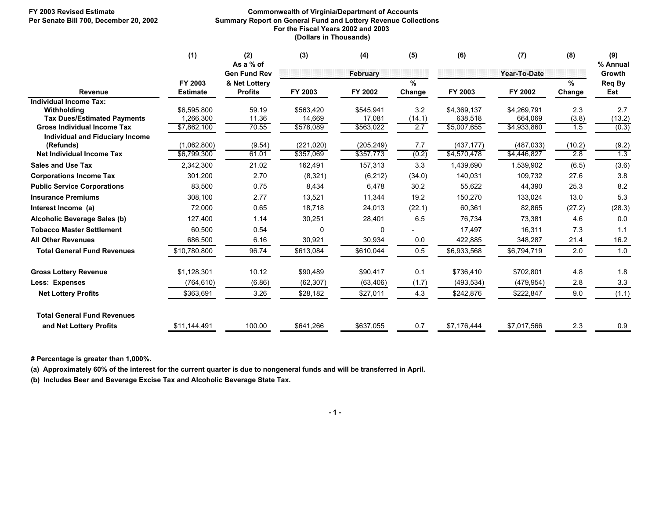## **FY 2003 Revised Estimate Commonwealth of Virginia/Department of Accounts Summary Report on General Fund and Lottery Revenue Collections For the Fiscal Years 2002 and 2003 (Dollars in Thousands)**

|                                                     | (1)                        | (2)<br>As a % of                | (3)        | (4)        | (5)            | (6)         | (7)          | (8)         | (9)<br>% Annual |
|-----------------------------------------------------|----------------------------|---------------------------------|------------|------------|----------------|-------------|--------------|-------------|-----------------|
|                                                     |                            | <b>Gen Fund Rev</b>             |            | February   |                |             | Year-To-Date |             | Growth          |
| <b>Revenue</b>                                      | FY 2003<br><b>Estimate</b> | & Net Lottery<br><b>Profits</b> | FY 2003    | FY 2002    | $\%$<br>Change | FY 2003     | FY 2002      | %<br>Change | Req By<br>Est   |
| Individual Income Tax:<br>Withholding               | \$6,595,800                | 59.19                           | \$563,420  | \$545,941  | 3.2            | \$4,369,137 | \$4,269,791  | 2.3         | 2.7             |
| <b>Tax Dues/Estimated Payments</b>                  | 1,266,300                  | 11.36                           | 14,669     | 17,081     | (14.1)         | 638,518     | 664.069      | (3.8)       | (13.2)          |
| <b>Gross Individual Income Tax</b>                  | \$7,862,100                | 70.55                           | \$578,089  | \$563,022  | 2.7            | \$5,007,655 | \$4,933,860  | 1.5         | (0.3)           |
| <b>Individual and Fiduciary Income</b><br>(Refunds) | (1,062,800)                | (9.54)                          | (221, 020) | (205, 249) | 7.7            | (437, 177)  | (487, 033)   | (10.2)      | (9.2)           |
| Net Individual Income Tax                           | \$6,799,300                | 61.01                           | \$357,069  | \$357,773  | (0.2)          | \$4,570,478 | \$4,446,827  | 2.8         | 1.3             |
| <b>Sales and Use Tax</b>                            | 2,342,300                  | 21.02                           | 162,491    | 157,313    | 3.3            | 1,439,690   | 1,539,902    | (6.5)       | (3.6)           |
| <b>Corporations Income Tax</b>                      | 301,200                    | 2.70                            | (8, 321)   | (6, 212)   | (34.0)         | 140,031     | 109,732      | 27.6        | 3.8             |
| <b>Public Service Corporations</b>                  | 83,500                     | 0.75                            | 8,434      | 6,478      | 30.2           | 55,622      | 44,390       | 25.3        | 8.2             |
| <b>Insurance Premiums</b>                           | 308,100                    | 2.77                            | 13,521     | 11,344     | 19.2           | 150,270     | 133,024      | 13.0        | 5.3             |
| Interest Income (a)                                 | 72,000                     | 0.65                            | 18,718     | 24,013     | (22.1)         | 60,361      | 82,865       | (27.2)      | (28.3)          |
| Alcoholic Beverage Sales (b)                        | 127,400                    | 1.14                            | 30,251     | 28,401     | 6.5            | 76,734      | 73,381       | 4.6         | 0.0             |
| <b>Tobacco Master Settlement</b>                    | 60,500                     | 0.54                            | 0          | 0          |                | 17,497      | 16,311       | 7.3         | 1.1             |
| <b>All Other Revenues</b>                           | 686,500                    | 6.16                            | 30,921     | 30,934     | 0.0            | 422,885     | 348,287      | 21.4        | 16.2            |
| <b>Total General Fund Revenues</b>                  | \$10,780,800               | 96.74                           | \$613,084  | \$610,044  | 0.5            | \$6,933,568 | \$6,794,719  | 2.0         | 1.0             |
| <b>Gross Lottery Revenue</b>                        | \$1,128,301                | 10.12                           | \$90,489   | \$90,417   | 0.1            | \$736,410   | \$702,801    | 4.8         | 1.8             |
| <b>Less: Expenses</b>                               | (764, 610)                 | (6.86)                          | (62, 307)  | (63, 406)  | (1.7)          | (493, 534)  | (479.954)    | 2.8         | 3.3             |
| <b>Net Lottery Profits</b>                          | \$363,691                  | 3.26                            | \$28,182   | \$27,011   | 4.3            | \$242,876   | \$222,847    | 9.0         | (1.1)           |
| <b>Total General Fund Revenues</b>                  |                            |                                 |            |            |                |             |              |             |                 |
| and Net Lottery Profits                             | \$11,144,491               | 100.00                          | \$641,266  | \$637,055  | 0.7            | \$7,176,444 | \$7,017,566  | 2.3         | 0.9             |

 **# Percentage is greater than 1,000%.**

 **(a) Approximately 60% of the interest for the current quarter is due to nongeneral funds and will be transferred in April.**

 **(b) Includes Beer and Beverage Excise Tax and Alcoholic Beverage State Tax.**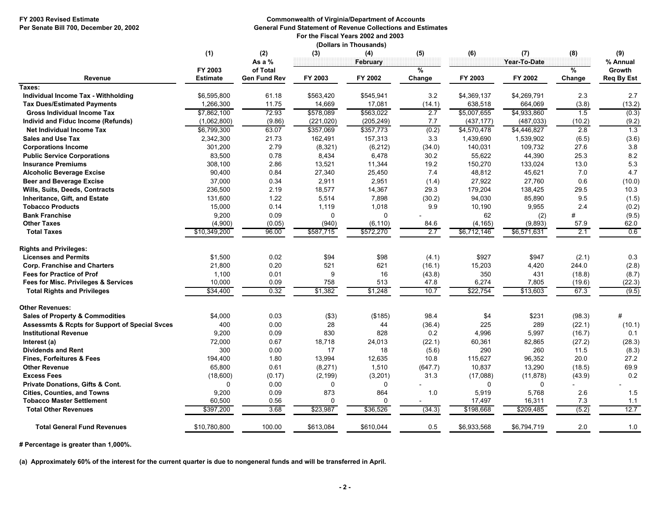## **FY 2003 Revised Estimate Commonwealth of Virginia/Department of Accounts Per Senate Bill 700, December 20, 2002 General Fund Statement of Revenue Collections and Estimates**

 **For the Fiscal Years 2002 and 2003 (Dollars in Thousands)**

|                                                           |                 |                           | vuaro ur ruc | .90.109,        |          |             |                     |                      |                           |
|-----------------------------------------------------------|-----------------|---------------------------|--------------|-----------------|----------|-------------|---------------------|----------------------|---------------------------|
|                                                           | (1)<br>FY 2003  | (2)<br>As a %<br>of Total | (3)          | (4)<br>February | (5)<br>% | (6)         | (7)<br>Year-To-Date | (8)<br>$\frac{9}{6}$ | (9)<br>% Annual<br>Growth |
| Revenue                                                   | <b>Estimate</b> | <b>Gen Fund Rev</b>       | FY 2003      | FY 2002         | Change   | FY 2003     | FY 2002             | Change               | <b>Req By Est</b>         |
| Taxes:                                                    |                 |                           |              |                 |          |             |                     |                      |                           |
| Individual Income Tax - Withholding                       | \$6,595,800     | 61.18                     | \$563,420    | \$545,941       | 3.2      | \$4,369,137 | \$4,269,791         | 2.3                  | 2.7                       |
| <b>Tax Dues/Estimated Payments</b>                        | 1,266,300       | 11.75                     | 14,669       | 17,081          | (14.1)   | 638,518     | 664,069             | (3.8)                | (13.2)                    |
| <b>Gross Individual Income Tax</b>                        | \$7,862,100     | 72.93                     | \$578,089    | \$563,022       | 2.7      | \$5,007,655 | \$4,933,860         | 1.5                  | (0.3)                     |
| Individ and Fiduc Income (Refunds)                        | (1,062,800)     | (9.86)                    | (221, 020)   | (205, 249)      | 7.7      | (437, 177)  | (487, 033)          | (10.2)               | (9.2)                     |
| Net Individual Income Tax                                 | \$6,799,300     | 63.07                     | \$357,069    | \$357,773       | (0.2)    | \$4,570,478 | \$4,446,827         | 2.8                  | 1.3                       |
| <b>Sales and Use Tax</b>                                  | 2,342,300       | 21.73                     | 162,491      | 157,313         | 3.3      | 1,439,690   | 1,539,902           | (6.5)                | (3.6)                     |
| <b>Corporations Income</b>                                | 301,200         | 2.79                      | (8, 321)     | (6, 212)        | (34.0)   | 140,031     | 109,732             | 27.6                 | 3.8                       |
| <b>Public Service Corporations</b>                        | 83,500          | 0.78                      | 8,434        | 6,478           | 30.2     | 55,622      | 44,390              | 25.3                 | 8.2                       |
| <b>Insurance Premiums</b>                                 | 308,100         | 2.86                      | 13,521       | 11,344          | 19.2     | 150,270     | 133,024             | 13.0                 | 5.3                       |
| <b>Alcoholic Beverage Excise</b>                          | 90,400          | 0.84                      | 27,340       | 25,450          | 7.4      | 48,812      | 45,621              | 7.0                  | 4.7                       |
| <b>Beer and Beverage Excise</b>                           | 37,000          | 0.34                      | 2,911        | 2,951           | (1.4)    | 27,922      | 27,760              | 0.6                  | (10.0)                    |
| Wills, Suits, Deeds, Contracts                            | 236,500         | 2.19                      | 18,577       | 14,367          | 29.3     | 179,204     | 138,425             | 29.5                 | 10.3                      |
| <b>Inheritance, Gift, and Estate</b>                      | 131,600         | 1.22                      | 5,514        | 7,898           | (30.2)   | 94,030      | 85,890              | 9.5                  | (1.5)                     |
| <b>Tobacco Products</b>                                   | 15,000          | 0.14                      | 1,119        | 1,018           | 9.9      | 10,190      | 9,955               | 2.4                  | (0.2)                     |
| <b>Bank Franchise</b>                                     | 9,200           | 0.09                      | $\Omega$     | $\Omega$        |          | 62          | (2)                 | #                    | (9.5)                     |
| <b>Other Taxes</b>                                        | (4,900)         | (0.05)                    | (940)        | (6, 110)        | 84.6     | (4, 165)    | (9,893)             | 57.9                 | 62.0                      |
| <b>Total Taxes</b>                                        | \$10,349,200    | 96.00                     | \$587,715    | \$572,270       | 2.7      | \$6,712,146 | \$6,571,631         | 2.1                  | 0.6                       |
| <b>Rights and Privileges:</b>                             |                 |                           |              |                 |          |             |                     |                      |                           |
| <b>Licenses and Permits</b>                               | \$1,500         | 0.02                      | \$94         | \$98            | (4.1)    | \$927       | \$947               | (2.1)                | 0.3                       |
| <b>Corp. Franchise and Charters</b>                       | 21,800          | 0.20                      | 521          | 621             | (16.1)   | 15,203      | 4,420               | 244.0                | (2.8)                     |
| <b>Fees for Practice of Prof</b>                          | 1,100           | 0.01                      | 9            | 16              | (43.8)   | 350         | 431                 | (18.8)               | (8.7)                     |
| Fees for Misc. Privileges & Services                      | 10,000          | 0.09                      | 758          | 513             | 47.8     | 6,274       | 7,805               | (19.6)               | (22.3)                    |
| <b>Total Rights and Privileges</b>                        | \$34,400        | 0.32                      | \$1,382      | \$1,248         | 10.7     | \$22,754    | \$13,603            | 67.3                 | (9.5)                     |
| <b>Other Revenues:</b>                                    |                 |                           |              |                 |          |             |                     |                      |                           |
| <b>Sales of Property &amp; Commodities</b>                | \$4,000         | 0.03                      | ( \$3)       | (\$185)         | 98.4     | \$4         | \$231               | (98.3)               | #                         |
| <b>Assessmts &amp; Rcpts for Support of Special Svces</b> | 400             | 0.00                      | 28           | 44              | (36.4)   | 225         | 289                 | (22.1)               | (10.1)                    |
| <b>Institutional Revenue</b>                              | 9,200           | 0.09                      | 830          | 828             | 0.2      | 4,996       | 5,997               | (16.7)               | 0.1                       |
| Interest (a)                                              | 72,000          | 0.67                      | 18,718       | 24,013          | (22.1)   | 60,361      | 82,865              | (27.2)               | (28.3)                    |
| <b>Dividends and Rent</b>                                 | 300             | 0.00                      | 17           | 18              | (5.6)    | 290         | 260                 | 11.5                 | (8.3)                     |
| <b>Fines, Forfeitures &amp; Fees</b>                      | 194,400         | 1.80                      | 13,994       | 12,635          | 10.8     | 115,627     | 96,352              | 20.0                 | 27.2                      |
| <b>Other Revenue</b>                                      | 65,800          | 0.61                      | (8,271)      | 1,510           | (647.7)  | 10,837      | 13,290              | (18.5)               | 69.9                      |
| <b>Excess Fees</b>                                        | (18,600)        | (0.17)                    | (2, 199)     | (3,201)         | 31.3     | (17,088)    | (11, 878)           | (43.9)               | 0.2                       |
| <b>Private Donations, Gifts &amp; Cont.</b>               | 0               | 0.00                      | $\Omega$     | 0               |          | $\Omega$    | $\mathbf 0$         |                      |                           |
| <b>Cities, Counties, and Towns</b>                        | 9,200           | 0.09                      | 873          | 864             | 1.0      | 5,919       | 5,768               | 2.6                  | 1.5                       |
| <b>Tobacco Master Settlement</b>                          | 60,500          | 0.56                      | $\Omega$     | $\Omega$        |          | 17,497      | 16,311              | 7.3                  | 1.1                       |
| <b>Total Other Revenues</b>                               | \$397,200       | 3.68                      | \$23,987     | \$36,526        | (34.3)   | \$198,668   | \$209,485           | (5.2)                | 12.7                      |
| <b>Total General Fund Revenues</b>                        | \$10,780,800    | 100.00                    | \$613,084    | \$610,044       | 0.5      | \$6,933,568 | \$6,794,719         | 2.0                  | 1.0                       |
|                                                           |                 |                           |              |                 |          |             |                     |                      |                           |

**# Percentage is greater than 1,000%.**

**(a) Approximately 60% of the interest for the current quarter is due to nongeneral funds and will be transferred in April.**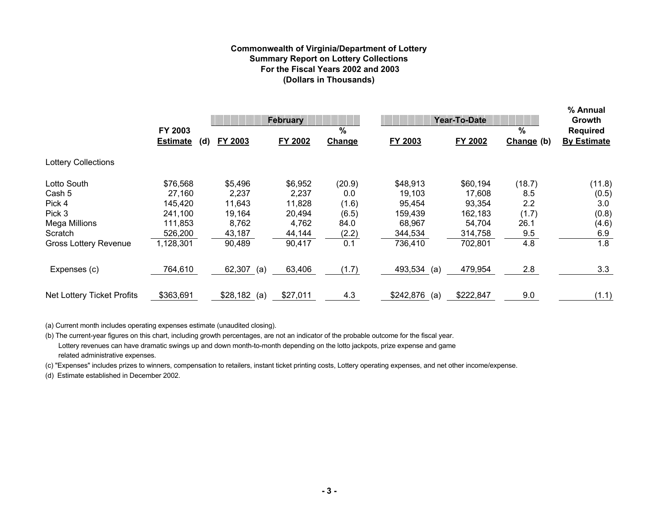# **Commonwealth of Virginia/Department of Lottery Summary Report on Lottery Collections For the Fiscal Years 2002 and 2003(Dollars in Thousands)**

|                              |                                   | <b>February</b> |          |             | Year-To-Date     | % Annual<br>Growth |                    |                                       |
|------------------------------|-----------------------------------|-----------------|----------|-------------|------------------|--------------------|--------------------|---------------------------------------|
|                              | FY 2003<br><b>Estimate</b><br>(d) | FY 2003         | FY 2002  | %<br>Change | FY 2003          | FY 2002            | $\%$<br>Change (b) | <b>Required</b><br><b>By Estimate</b> |
| <b>Lottery Collections</b>   |                                   |                 |          |             |                  |                    |                    |                                       |
| Lotto South                  | \$76,568                          | \$5,496         | \$6,952  | (20.9)      | \$48,913         | \$60,194           | (18.7)             | (11.8)                                |
| Cash 5                       | 27,160                            | 2,237           | 2,237    | 0.0         | 19,103           | 17,608             | 8.5                | (0.5)                                 |
| Pick 4                       | 145,420                           | 11,643          | 11,828   | (1.6)       | 95,454           | 93,354             | 2.2                | 3.0                                   |
| Pick 3                       | 241,100                           | 19,164          | 20,494   | (6.5)       | 159,439          | 162,183            | (1.7)              | (0.8)                                 |
| Mega Millions                | 111,853                           | 8,762           | 4,762    | 84.0        | 68,967           | 54,704             | 26.1               | (4.6)                                 |
| Scratch                      | 526,200                           | 43,187          | 44,144   | (2.2)       | 344,534          | 314,758            | 9.5                | 6.9                                   |
| <b>Gross Lottery Revenue</b> | 1,128,301                         | 90,489          | 90,417   | 0.1         | 736,410          | 702,801            | 4.8                | 1.8                                   |
| Expenses (c)                 | 764,610                           | 62,307<br>(a)   | 63,406   | (1.7)       | 493,534<br>(a)   | 479,954            | 2.8                | 3.3                                   |
| Net Lottery Ticket Profits   | \$363,691                         | $$28,182$ (a)   | \$27,011 | 4.3         | \$242,876<br>(a) | \$222,847          | 9.0                | (1.1)                                 |

(a) Current month includes operating expenses estimate (unaudited closing).

(b) The current-year figures on this chart, including growth percentages, are not an indicator of the probable outcome for the fiscal year. Lottery revenues can have dramatic swings up and down month-to-month depending on the lotto jackpots, prize expense and game related administrative expenses.

(c) "Expenses" includes prizes to winners, compensation to retailers, instant ticket printing costs, Lottery operating expenses, and net other income/expense.

(d) Estimate established in December 2002.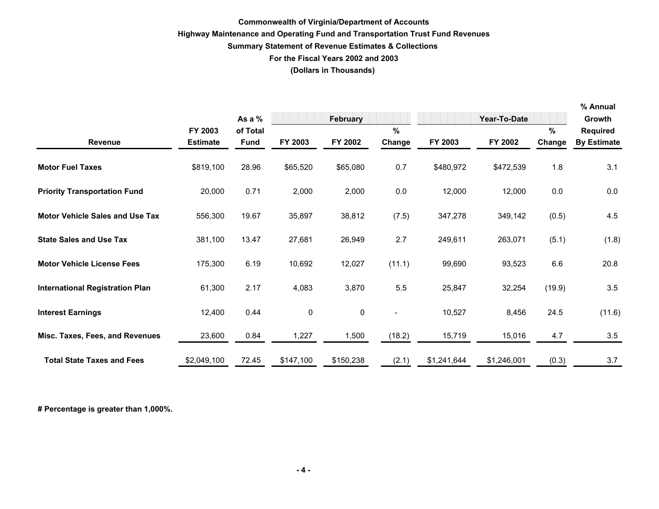# **Commonwealth of Virginia/Department of Accounts Highway Maintenance and Operating Fund and Transportation Trust Fund Revenues Summary Statement of Revenue Estimates & Collections For the Fiscal Years 2002 and 2003 (Dollars in Thousands)**

|                                        |                            | As a %                  |           | February  |                          |             | Year-To-Date |             | % Annual<br>Growth                    |
|----------------------------------------|----------------------------|-------------------------|-----------|-----------|--------------------------|-------------|--------------|-------------|---------------------------------------|
| <b>Revenue</b>                         | FY 2003<br><b>Estimate</b> | of Total<br><b>Fund</b> | FY 2003   | FY 2002   | %<br>Change              | FY 2003     | FY 2002      | %<br>Change | <b>Required</b><br><b>By Estimate</b> |
| <b>Motor Fuel Taxes</b>                | \$819,100                  | 28.96                   | \$65,520  | \$65,080  | 0.7                      | \$480,972   | \$472,539    | 1.8         | 3.1                                   |
| <b>Priority Transportation Fund</b>    | 20,000                     | 0.71                    | 2,000     | 2,000     | 0.0                      | 12,000      | 12,000       | 0.0         | 0.0                                   |
| <b>Motor Vehicle Sales and Use Tax</b> | 556,300                    | 19.67                   | 35,897    | 38,812    | (7.5)                    | 347,278     | 349,142      | (0.5)       | 4.5                                   |
| <b>State Sales and Use Tax</b>         | 381,100                    | 13.47                   | 27,681    | 26,949    | 2.7                      | 249,611     | 263,071      | (5.1)       | (1.8)                                 |
| <b>Motor Vehicle License Fees</b>      | 175,300                    | 6.19                    | 10,692    | 12,027    | (11.1)                   | 99,690      | 93,523       | 6.6         | 20.8                                  |
| <b>International Registration Plan</b> | 61,300                     | 2.17                    | 4,083     | 3,870     | 5.5                      | 25,847      | 32,254       | (19.9)      | 3.5                                   |
| <b>Interest Earnings</b>               | 12,400                     | 0.44                    | $\pmb{0}$ | 0         | $\overline{\phantom{a}}$ | 10,527      | 8,456        | 24.5        | (11.6)                                |
| Misc. Taxes, Fees, and Revenues        | 23,600                     | 0.84                    | 1,227     | 1,500     | (18.2)                   | 15,719      | 15,016       | 4.7         | 3.5                                   |
| <b>Total State Taxes and Fees</b>      | \$2,049,100                | 72.45                   | \$147,100 | \$150,238 | (2.1)                    | \$1,241,644 | \$1,246,001  | (0.3)       | 3.7                                   |

**# Percentage is greater than 1,000%.**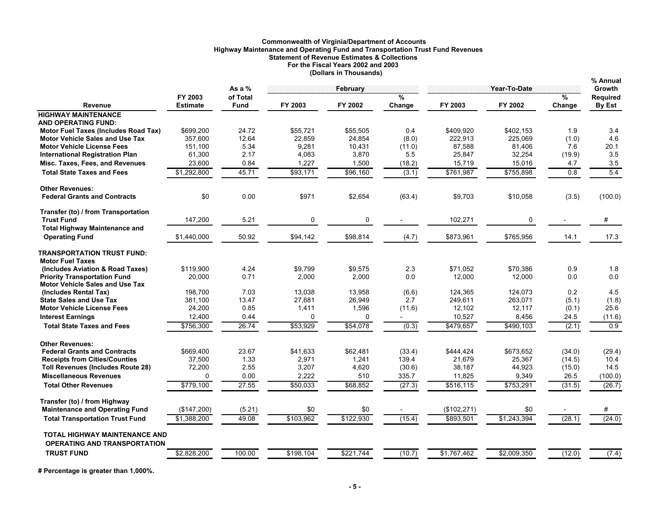# **Commonwealth of Virginia/Department of Accounts Highway Maintenance and Operating Fund and Transportation Trust Fund Revenues Statement of Revenue Estimates & Collections For the Fiscal Years 2002 and 2003 (Dollars in Thousands)**

|                                                               |                            |                         |           |           |                          |              | % Annual     |             |                           |
|---------------------------------------------------------------|----------------------------|-------------------------|-----------|-----------|--------------------------|--------------|--------------|-------------|---------------------------|
|                                                               |                            | As a $%$                |           | February  |                          |              | Year-To-Date |             | <b>Growth</b>             |
| <b>Revenue</b>                                                | FY 2003<br><b>Estimate</b> | of Total<br><b>Fund</b> | FY 2003   | FY 2002   | $\frac{9}{6}$<br>Change  | FY 2003      | FY 2002      | %<br>Change | <b>Required</b><br>By Est |
| <b>HIGHWAY MAINTENANCE</b>                                    |                            |                         |           |           |                          |              |              |             |                           |
| <b>AND OPERATING FUND:</b>                                    |                            |                         |           |           |                          |              |              |             |                           |
| Motor Fuel Taxes (Includes Road Tax)                          | \$699.200                  | 24.72                   | \$55,721  | \$55,505  | 0.4                      | \$409,920    | \$402,153    | 1.9         | 3.4                       |
| Motor Vehicle Sales and Use Tax                               | 357,600                    | 12.64                   | 22,859    | 24,854    | (8.0)                    | 222,913      | 225,069      | (1.0)       | 4.6                       |
| <b>Motor Vehicle License Fees</b>                             | 151,100                    | 5.34                    | 9,281     | 10,431    | (11.0)                   | 87,588       | 81,406       | 7.6         | 20.1                      |
| <b>International Registration Plan</b>                        | 61,300                     | 2.17                    | 4,083     | 3,870     | 5.5                      | 25,847       | 32,254       | (19.9)      | 3.5                       |
| Misc. Taxes, Fees, and Revenues                               | 23,600                     | 0.84                    | 1,227     | 1,500     | (18.2)                   | 15,719       | 15,016       | 4.7         | 3.5                       |
| <b>Total State Taxes and Fees</b>                             | \$1,292,800                | 45.71                   | \$93,171  | \$96,160  | (3.1)                    | \$761,987    | \$755,898    | 0.8         | 5.4                       |
| <b>Other Revenues:</b>                                        |                            |                         |           |           |                          |              |              |             |                           |
| <b>Federal Grants and Contracts</b>                           | \$0                        | 0.00                    | \$971     | \$2,654   | (63.4)                   | \$9,703      | \$10,058     | (3.5)       | (100.0)                   |
| Transfer (to) / from Transportation                           |                            |                         |           |           |                          |              |              |             |                           |
| <b>Trust Fund</b>                                             | 147,200                    | 5.21                    | 0         | 0         |                          | 102,271      | 0            |             | #                         |
| <b>Total Highway Maintenance and</b><br><b>Operating Fund</b> | \$1.440.000                | 50.92                   | \$94,142  | \$98,814  | (4.7)                    | \$873,961    | \$765.956    | 14.1        | 17.3                      |
|                                                               |                            |                         |           |           |                          |              |              |             |                           |
| <b>TRANSPORTATION TRUST FUND:</b>                             |                            |                         |           |           |                          |              |              |             |                           |
| <b>Motor Fuel Taxes</b><br>(Includes Aviation & Road Taxes)   | \$119,900                  | 4.24                    | \$9,799   | \$9,575   | 2.3                      | \$71,052     | \$70,386     | 0.9         | 1.8                       |
| <b>Priority Transportation Fund</b>                           | 20,000                     | 0.71                    | 2,000     | 2,000     | 0.0                      | 12,000       | 12,000       | 0.0         | 0.0                       |
| <b>Motor Vehicle Sales and Use Tax</b>                        |                            |                         |           |           |                          |              |              |             |                           |
| (Includes Rental Tax)                                         | 198,700                    | 7.03                    | 13,038    | 13,958    | (6.6)                    | 124,365      | 124,073      | 0.2         | 4.5                       |
| <b>State Sales and Use Tax</b>                                | 381,100                    | 13.47                   | 27,681    | 26,949    | 2.7                      | 249,611      | 263,071      | (5.1)       | (1.8)                     |
| <b>Motor Vehicle License Fees</b>                             | 24,200                     | 0.85                    | 1,411     | 1,596     | (11.6)                   | 12,102       | 12,117       | (0.1)       | 25.6                      |
| <b>Interest Earnings</b>                                      | 12,400                     | 0.44                    | $\Omega$  | $\Omega$  | $\overline{\phantom{a}}$ | 10,527       | 8,456        | 24.5        | (11.6)                    |
| <b>Total State Taxes and Fees</b>                             | \$756,300                  | 26.74                   | \$53,929  | \$54,078  | (0.3)                    | \$479,657    | \$490.103    | (2.1)       | $\overline{0.9}$          |
| <b>Other Revenues:</b>                                        |                            |                         |           |           |                          |              |              |             |                           |
| <b>Federal Grants and Contracts</b>                           | \$669,400                  | 23.67                   | \$41,633  | \$62,481  | (33.4)                   | \$444,424    | \$673,652    | (34.0)      | (29.4)                    |
| <b>Receipts from Cities/Counties</b>                          | 37,500                     | 1.33                    | 2,971     | 1,241     | 139.4                    | 21,679       | 25,367       | (14.5)      | 10.4                      |
| <b>Toll Revenues (Includes Route 28)</b>                      | 72,200                     | 2.55                    | 3,207     | 4,620     | (30.6)                   | 38,187       | 44,923       | (15.0)      | 14.5                      |
| <b>Miscellaneous Revenues</b>                                 | $\Omega$                   | 0.00                    | 2,222     | 510       | 335.7                    | 11,825       | 9,349        | 26.5        | (100.0)                   |
| <b>Total Other Revenues</b>                                   | \$779,100                  | 27.55                   | \$50,033  | \$68,852  | (27.3)                   | \$516,115    | \$753,291    | (31.5)      | (26.7)                    |
| Transfer (to) / from Highway                                  |                            |                         |           |           |                          |              |              |             |                           |
| <b>Maintenance and Operating Fund</b>                         | (\$147,200)                | (5.21)                  | \$0       | \$0       |                          | (\$102, 271) | \$0          |             | #                         |
| <b>Total Transportation Trust Fund</b>                        | \$1,388,200                | 49.08                   | \$103,962 | \$122,930 | (15.4)                   | \$893,501    | \$1,243,394  | (28.1)      | (24.0)                    |
|                                                               |                            |                         |           |           |                          |              |              |             |                           |
| <b>TOTAL HIGHWAY MAINTENANCE AND</b>                          |                            |                         |           |           |                          |              |              |             |                           |
| <b>OPERATING AND TRANSPORTATION</b>                           |                            |                         |           |           |                          |              |              |             |                           |
| <b>TRUST FUND</b>                                             | \$2,828,200                | 100.00                  | \$198,104 | \$221,744 | (10.7)                   | \$1,767,462  | \$2,009,350  | (12.0)      | (7.4)                     |
|                                                               |                            |                         |           |           |                          |              |              |             |                           |

**# Percentage is greater than 1,000%.**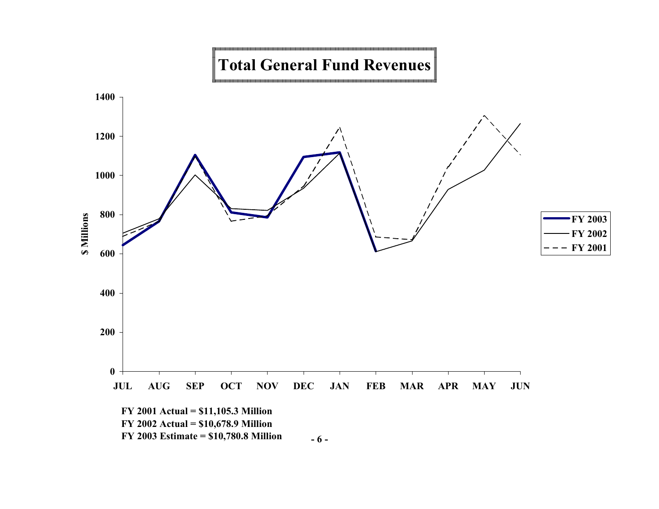#### <u> La componente de la componente de la componente de la componente de la componente de la componente de la compo</u> Г F **Total General Fund Revenues**

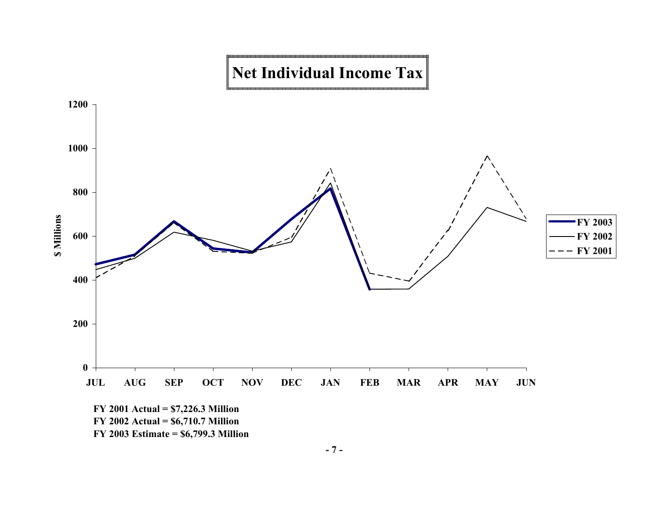



**- 7 -**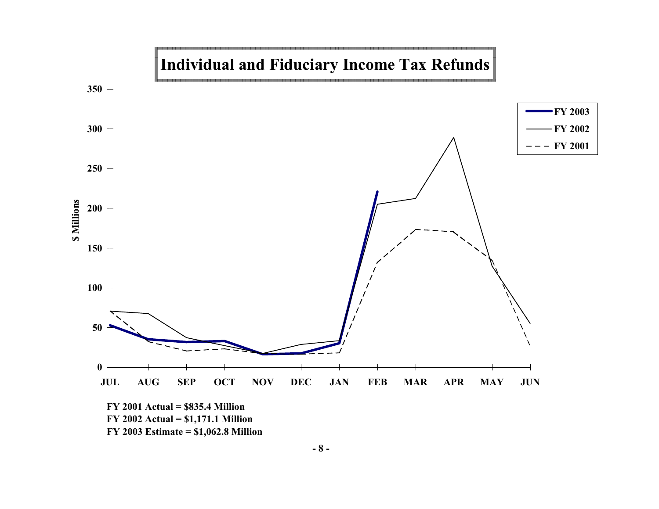

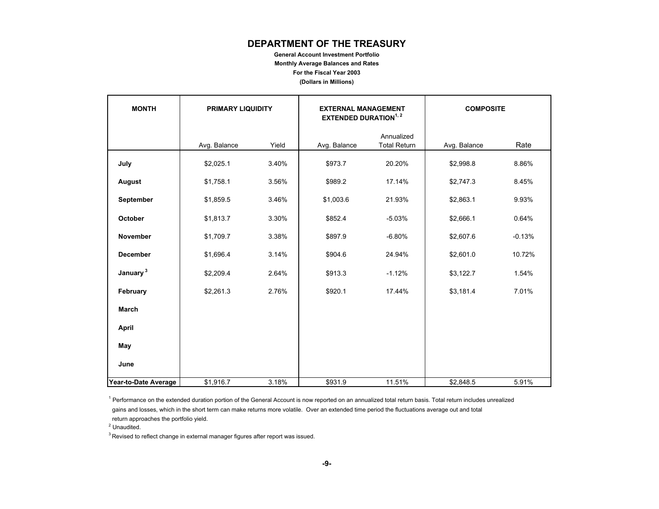# **DEPARTMENT OF THE TREASURY**

**General Account Investment Portfolio**

**Monthly Average Balances and Rates**

**For the Fiscal Year 2003**

**(Dollars in Millions)**

| <b>MONTH</b>         | <b>PRIMARY LIQUIDITY</b> |       | <b>EXTERNAL MANAGEMENT</b><br><b>EXTENDED DURATION</b> <sup>1, 2</sup> |                                   | <b>COMPOSITE</b> |          |
|----------------------|--------------------------|-------|------------------------------------------------------------------------|-----------------------------------|------------------|----------|
|                      | Avg. Balance             | Yield | Avg. Balance                                                           | Annualized<br><b>Total Return</b> | Avg. Balance     | Rate     |
| July                 | \$2,025.1                | 3.40% | \$973.7                                                                | 20.20%                            | \$2,998.8        | 8.86%    |
| August               | \$1,758.1                | 3.56% | \$989.2                                                                | 17.14%                            | \$2,747.3        | 8.45%    |
| September            | \$1,859.5                | 3.46% | \$1,003.6                                                              | 21.93%                            | \$2,863.1        | 9.93%    |
| October              | \$1,813.7                | 3.30% | \$852.4                                                                | $-5.03%$                          | \$2,666.1        | 0.64%    |
| <b>November</b>      | \$1,709.7                | 3.38% | \$897.9                                                                | $-6.80%$                          | \$2,607.6        | $-0.13%$ |
| December             | \$1,696.4                | 3.14% | \$904.6                                                                | 24.94%                            | \$2,601.0        | 10.72%   |
| January <sup>3</sup> | \$2,209.4                | 2.64% | \$913.3                                                                | $-1.12%$                          | \$3,122.7        | 1.54%    |
| February             | \$2,261.3                | 2.76% | \$920.1                                                                | 17.44%                            | \$3,181.4        | 7.01%    |
| March                |                          |       |                                                                        |                                   |                  |          |
| April                |                          |       |                                                                        |                                   |                  |          |
| May                  |                          |       |                                                                        |                                   |                  |          |
| June                 |                          |       |                                                                        |                                   |                  |          |
| Year-to-Date Average | \$1,916.7                | 3.18% | \$931.9                                                                | 11.51%                            | \$2,848.5        | 5.91%    |

<sup>1</sup> Performance on the extended duration portion of the General Account is now reported on an annualized total return basis. Total return includes unrealized

 gains and losses, which in the short term can make returns more volatile. Over an extended time period the fluctuations average out and total return approaches the portfolio yield.

<sup>2</sup> Unaudited.

 $3$  Revised to reflect change in external manager figures after report was issued.